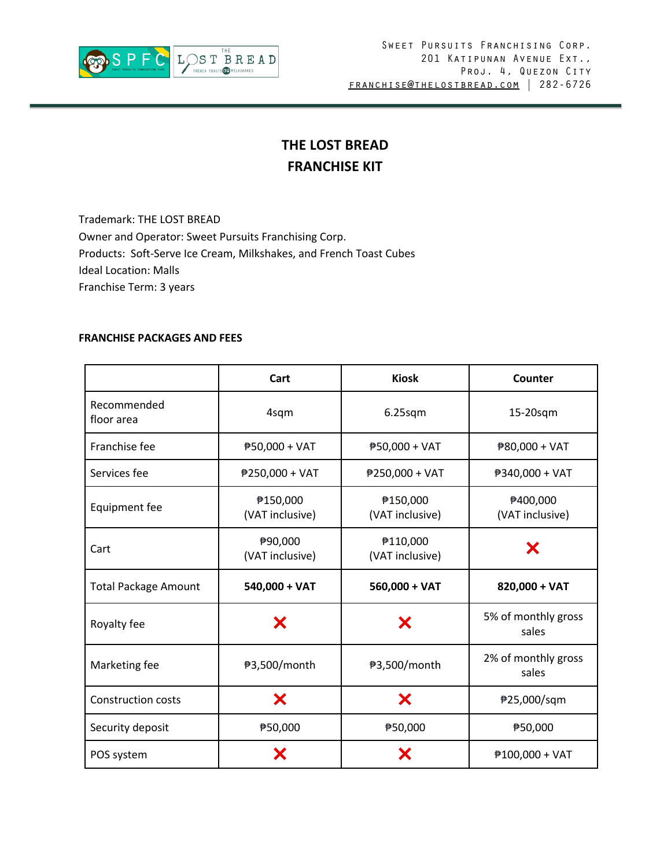

# **THE LOST BREAD FRANCHISE KIT**

Trademark: THE LOST BREAD Owner and Operator: Sweet Pursuits Franchising Corp. Products: Soft-Serve Ice Cream, Milkshakes, and French Toast Cubes Ideal Location: Malls Franchise Term: 3 years

### **FRANCHISE PACKAGES AND FEES**

|                             | Cart                        | <b>Kiosk</b>                | Counter                      |
|-----------------------------|-----------------------------|-----------------------------|------------------------------|
| Recommended<br>floor area   | 4sqm                        | $6.25$ sqm                  | 15-20sqm                     |
| Franchise fee               | ₱50,000 + VAT               | ₱50,000 + VAT               | ₱80,000 + VAT                |
| Services fee                | ₱250,000 + VAT              | ₱250,000 + VAT              | ₱340,000 + VAT               |
| Equipment fee               | ₱150,000<br>(VAT inclusive) | ₱150,000<br>(VAT inclusive) | ₱400,000<br>(VAT inclusive)  |
| Cart                        | ₱90,000<br>(VAT inclusive)  | ₱110,000<br>(VAT inclusive) | Х                            |
| <b>Total Package Amount</b> | $540,000 + VAT$             | $560,000 + VAT$             | 820,000 + VAT                |
| Royalty fee                 | Х                           | X                           | 5% of monthly gross<br>sales |
| Marketing fee               | ₱3,500/month                | ₱3,500/month                | 2% of monthly gross<br>sales |
| <b>Construction costs</b>   | X                           | X                           | ₱25,000/sqm                  |
| Security deposit            | ₱50,000                     | ₱50,000                     | ₱50,000                      |
| POS system                  | Х                           | Х                           | $#100,000 + VAT$             |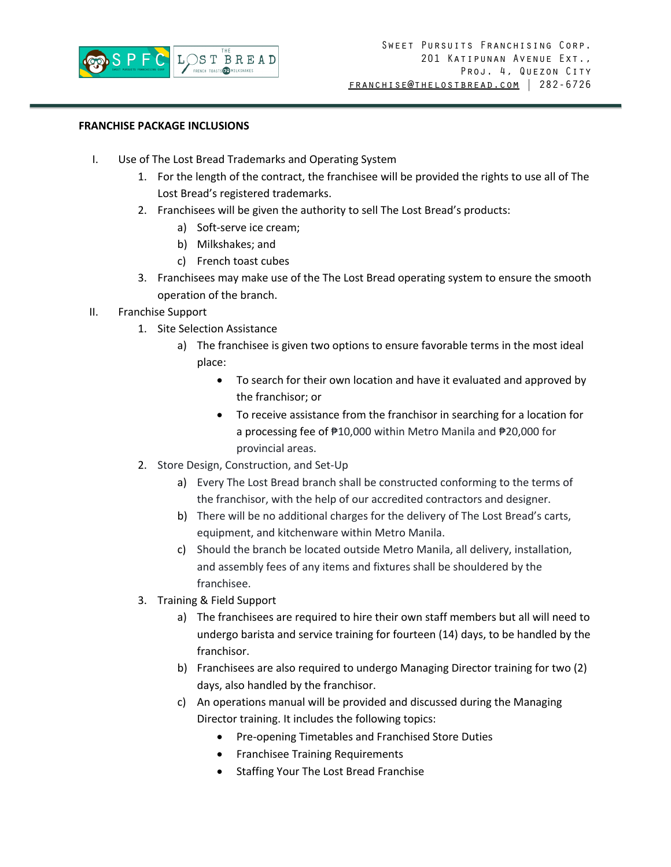

## **FRANCHISE PACKAGE INCLUSIONS**

- I. Use of The Lost Bread Trademarks and Operating System
	- 1. For the length of the contract, the franchisee will be provided the rights to use all of The Lost Bread's registered trademarks.
	- 2. Franchisees will be given the authority to sell The Lost Bread's products:
		- a) Soft-serve ice cream;
		- b) Milkshakes; and
		- c) French toast cubes
	- 3. Franchisees may make use of the The Lost Bread operating system to ensure the smooth operation of the branch.
- II. Franchise Support
	- 1. Site Selection Assistance
		- a) The franchisee is given two options to ensure favorable terms in the most ideal place:
			- To search for their own location and have it evaluated and approved by the franchisor; or
			- To receive assistance from the franchisor in searching for a location for a processing fee of ₱10,000 within Metro Manila and ₱20,000 for provincial areas.
	- 2. Store Design, Construction, and Set-Up
		- a) Every The Lost Bread branch shall be constructed conforming to the terms of the franchisor, with the help of our accredited contractors and designer.
		- b) There will be no additional charges for the delivery of The Lost Bread's carts, equipment, and kitchenware within Metro Manila.
		- c) Should the branch be located outside Metro Manila, all delivery, installation, and assembly fees of any items and fixtures shall be shouldered by the franchisee.
	- 3. Training & Field Support
		- a) The franchisees are required to hire their own staff members but all will need to undergo barista and service training for fourteen (14) days, to be handled by the franchisor.
		- b) Franchisees are also required to undergo Managing Director training for two (2) days, also handled by the franchisor.
		- c) An operations manual will be provided and discussed during the Managing Director training. It includes the following topics:
			- Pre-opening Timetables and Franchised Store Duties
			- Franchisee Training Requirements
			- Staffing Your The Lost Bread Franchise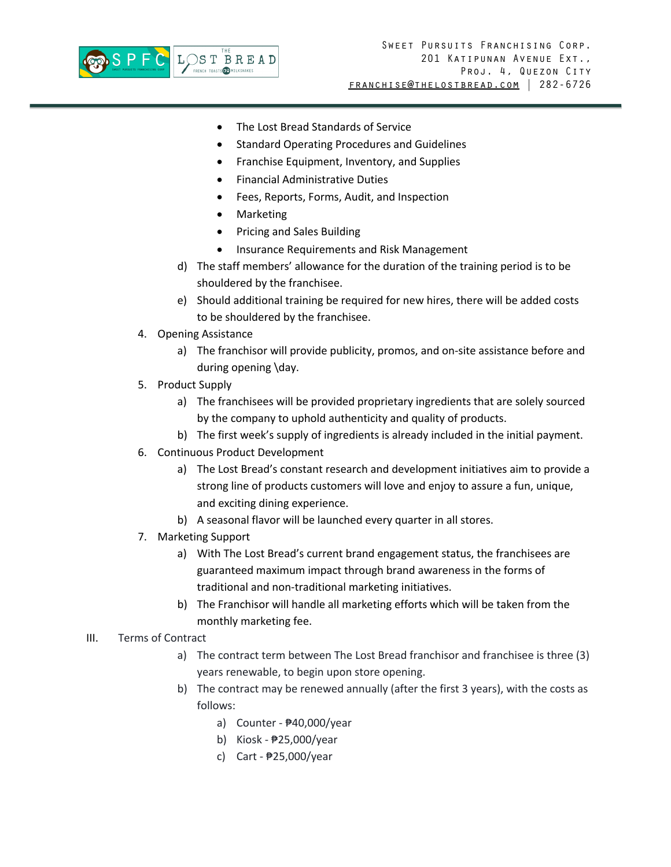

- The Lost Bread Standards of Service
- Standard Operating Procedures and Guidelines
- Franchise Equipment, Inventory, and Supplies
- Financial Administrative Duties
- Fees, Reports, Forms, Audit, and Inspection
- Marketing
- Pricing and Sales Building
- Insurance Requirements and Risk Management
- d) The staff members' allowance for the duration of the training period is to be shouldered by the franchisee.
- e) Should additional training be required for new hires, there will be added costs to be shouldered by the franchisee.
- 4. Opening Assistance
	- a) The franchisor will provide publicity, promos, and on-site assistance before and during opening \day.
- 5. Product Supply
	- a) The franchisees will be provided proprietary ingredients that are solely sourced by the company to uphold authenticity and quality of products.
	- b) The first week's supply of ingredients is already included in the initial payment.
- 6. Continuous Product Development
	- a) The Lost Bread's constant research and development initiatives aim to provide a strong line of products customers will love and enjoy to assure a fun, unique, and exciting dining experience.
	- b) A seasonal flavor will be launched every quarter in all stores.
- 7. Marketing Support
	- a) With The Lost Bread's current brand engagement status, the franchisees are guaranteed maximum impact through brand awareness in the forms of traditional and non-traditional marketing initiatives.
	- b) The Franchisor will handle all marketing efforts which will be taken from the monthly marketing fee.

### III. Terms of Contract

- a) The contract term between The Lost Bread franchisor and franchisee is three (3) years renewable, to begin upon store opening.
- b) The contract may be renewed annually (after the first 3 years), with the costs as follows:
	- a) Counter ₱40,000/year
	- b) Kiosk ₱25,000/year
	- c) Cart ₱25,000/year